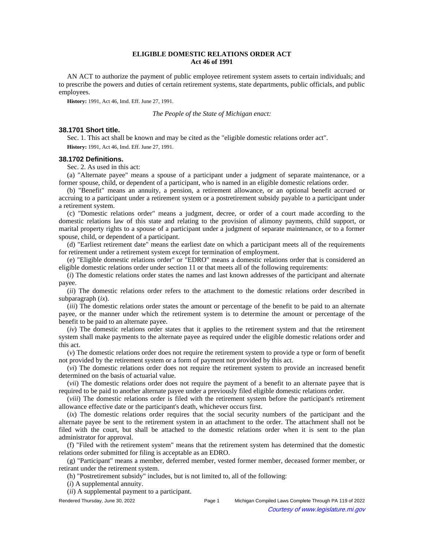# **ELIGIBLE DOMESTIC RELATIONS ORDER ACT Act 46 of 1991**

AN ACT to authorize the payment of public employee retirement system assets to certain individuals; and to prescribe the powers and duties of certain retirement systems, state departments, public officials, and public employees.

**History:** 1991, Act 46, Imd. Eff. June 27, 1991.

*The People of the State of Michigan enact:*

### **38.1701 Short title.**

Sec. 1. This act shall be known and may be cited as the "eligible domestic relations order act". **History:** 1991, Act 46, Imd. Eff. June 27, 1991.

### **38.1702 Definitions.**

Sec. 2. As used in this act:

(a) "Alternate payee" means a spouse of a participant under a judgment of separate maintenance, or a former spouse, child, or dependent of a participant, who is named in an eligible domestic relations order.

(b) "Benefit" means an annuity, a pension, a retirement allowance, or an optional benefit accrued or accruing to a participant under a retirement system or a postretirement subsidy payable to a participant under a retirement system.

(c) "Domestic relations order" means a judgment, decree, or order of a court made according to the domestic relations law of this state and relating to the provision of alimony payments, child support, or marital property rights to a spouse of a participant under a judgment of separate maintenance, or to a former spouse, child, or dependent of a participant.

(d) "Earliest retirement date" means the earliest date on which a participant meets all of the requirements for retirement under a retirement system except for termination of employment.

(e) "Eligible domestic relations order" or "EDRO" means a domestic relations order that is considered an eligible domestic relations order under section 11 or that meets all of the following requirements:

(*i*) The domestic relations order states the names and last known addresses of the participant and alternate payee.

(*ii*) The domestic relations order refers to the attachment to the domestic relations order described in subparagraph (*ix*).

(*iii*) The domestic relations order states the amount or percentage of the benefit to be paid to an alternate payee, or the manner under which the retirement system is to determine the amount or percentage of the benefit to be paid to an alternate payee.

(*iv*) The domestic relations order states that it applies to the retirement system and that the retirement system shall make payments to the alternate payee as required under the eligible domestic relations order and this act.

(*v*) The domestic relations order does not require the retirement system to provide a type or form of benefit not provided by the retirement system or a form of payment not provided by this act.

(*vi*) The domestic relations order does not require the retirement system to provide an increased benefit determined on the basis of actuarial value.

(*vii*) The domestic relations order does not require the payment of a benefit to an alternate payee that is required to be paid to another alternate payee under a previously filed eligible domestic relations order.

(*viii*) The domestic relations order is filed with the retirement system before the participant's retirement allowance effective date or the participant's death, whichever occurs first.

(*ix*) The domestic relations order requires that the social security numbers of the participant and the alternate payee be sent to the retirement system in an attachment to the order. The attachment shall not be filed with the court, but shall be attached to the domestic relations order when it is sent to the plan administrator for approval.

(f) "Filed with the retirement system" means that the retirement system has determined that the domestic relations order submitted for filing is acceptable as an EDRO.

(g) "Participant" means a member, deferred member, vested former member, deceased former member, or retirant under the retirement system.

(h) "Postretirement subsidy" includes, but is not limited to, all of the following:

(*i*) A supplemental annuity.

(*ii*) A supplemental payment to a participant.

Rendered Thursday, June 30, 2022 Page 1 Michigan Compiled Laws Complete Through PA 119 of 2022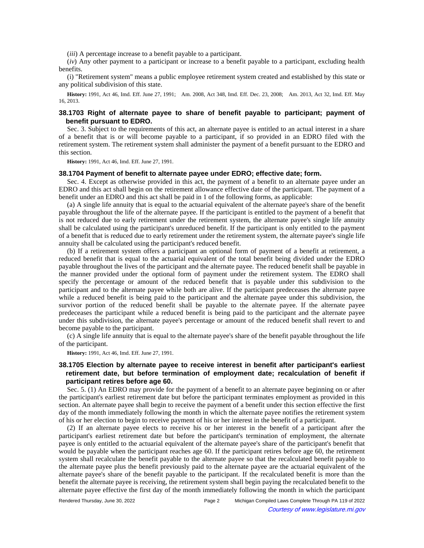(*iii*) A percentage increase to a benefit payable to a participant.

(*iv*) Any other payment to a participant or increase to a benefit payable to a participant, excluding health benefits.

(i) "Retirement system" means a public employee retirement system created and established by this state or any political subdivision of this state.

History: 1991, Act 46, Imd. Eff. June 27, 1991;-Am. 2008, Act 348, Imd. Eff. Dec. 23, 2008;-Am. 2013, Act 32, Imd. Eff. May 16, 2013.

# **38.1703 Right of alternate payee to share of benefit payable to participant; payment of benefit pursuant to EDRO.**

Sec. 3. Subject to the requirements of this act, an alternate payee is entitled to an actual interest in a share of a benefit that is or will become payable to a participant, if so provided in an EDRO filed with the retirement system. The retirement system shall administer the payment of a benefit pursuant to the EDRO and this section.

**History:** 1991, Act 46, Imd. Eff. June 27, 1991.

#### **38.1704 Payment of benefit to alternate payee under EDRO; effective date; form.**

Sec. 4. Except as otherwise provided in this act, the payment of a benefit to an alternate payee under an EDRO and this act shall begin on the retirement allowance effective date of the participant. The payment of a benefit under an EDRO and this act shall be paid in 1 of the following forms, as applicable:

(a) A single life annuity that is equal to the actuarial equivalent of the alternate payee's share of the benefit payable throughout the life of the alternate payee. If the participant is entitled to the payment of a benefit that is not reduced due to early retirement under the retirement system, the alternate payee's single life annuity shall be calculated using the participant's unreduced benefit. If the participant is only entitled to the payment of a benefit that is reduced due to early retirement under the retirement system, the alternate payee's single life annuity shall be calculated using the participant's reduced benefit.

(b) If a retirement system offers a participant an optional form of payment of a benefit at retirement, a reduced benefit that is equal to the actuarial equivalent of the total benefit being divided under the EDRO payable throughout the lives of the participant and the alternate payee. The reduced benefit shall be payable in the manner provided under the optional form of payment under the retirement system. The EDRO shall specify the percentage or amount of the reduced benefit that is payable under this subdivision to the participant and to the alternate payee while both are alive. If the participant predeceases the alternate payee while a reduced benefit is being paid to the participant and the alternate payee under this subdivision, the survivor portion of the reduced benefit shall be payable to the alternate payee. If the alternate payee predeceases the participant while a reduced benefit is being paid to the participant and the alternate payee under this subdivision, the alternate payee's percentage or amount of the reduced benefit shall revert to and become payable to the participant.

(c) A single life annuity that is equal to the alternate payee's share of the benefit payable throughout the life of the participant.

**History:** 1991, Act 46, Imd. Eff. June 27, 1991.

# **38.1705 Election by alternate payee to receive interest in benefit after participant's earliest retirement date, but before termination of employment date; recalculation of benefit if participant retires before age 60.**

Sec. 5. (1) An EDRO may provide for the payment of a benefit to an alternate payee beginning on or after the participant's earliest retirement date but before the participant terminates employment as provided in this section. An alternate payee shall begin to receive the payment of a benefit under this section effective the first day of the month immediately following the month in which the alternate payee notifies the retirement system of his or her election to begin to receive payment of his or her interest in the benefit of a participant.

(2) If an alternate payee elects to receive his or her interest in the benefit of a participant after the participant's earliest retirement date but before the participant's termination of employment, the alternate payee is only entitled to the actuarial equivalent of the alternate payee's share of the participant's benefit that would be payable when the participant reaches age 60. If the participant retires before age 60, the retirement system shall recalculate the benefit payable to the alternate payee so that the recalculated benefit payable to the alternate payee plus the benefit previously paid to the alternate payee are the actuarial equivalent of the alternate payee's share of the benefit payable to the participant. If the recalculated benefit is more than the benefit the alternate payee is receiving, the retirement system shall begin paying the recalculated benefit to the alternate payee effective the first day of the month immediately following the month in which the participant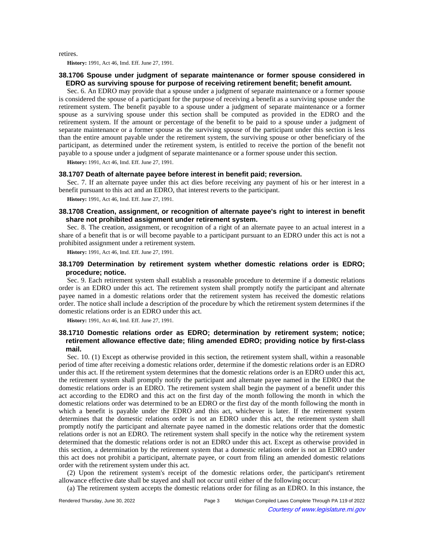retires.

**History:** 1991, Act 46, Imd. Eff. June 27, 1991.

### **38.1706 Spouse under judgment of separate maintenance or former spouse considered in EDRO as surviving spouse for purpose of receiving retirement benefit; benefit amount.**

Sec. 6. An EDRO may provide that a spouse under a judgment of separate maintenance or a former spouse is considered the spouse of a participant for the purpose of receiving a benefit as a surviving spouse under the retirement system. The benefit payable to a spouse under a judgment of separate maintenance or a former spouse as a surviving spouse under this section shall be computed as provided in the EDRO and the retirement system. If the amount or percentage of the benefit to be paid to a spouse under a judgment of separate maintenance or a former spouse as the surviving spouse of the participant under this section is less than the entire amount payable under the retirement system, the surviving spouse or other beneficiary of the participant, as determined under the retirement system, is entitled to receive the portion of the benefit not payable to a spouse under a judgment of separate maintenance or a former spouse under this section.

**History:** 1991, Act 46, Imd. Eff. June 27, 1991.

## **38.1707 Death of alternate payee before interest in benefit paid; reversion.**

Sec. 7. If an alternate payee under this act dies before receiving any payment of his or her interest in a benefit pursuant to this act and an EDRO, that interest reverts to the participant.

**History:** 1991, Act 46, Imd. Eff. June 27, 1991.

# **38.1708 Creation, assignment, or recognition of alternate payee's right to interest in benefit share not prohibited assignment under retirement system.**

Sec. 8. The creation, assignment, or recognition of a right of an alternate payee to an actual interest in a share of a benefit that is or will become payable to a participant pursuant to an EDRO under this act is not a prohibited assignment under a retirement system.

**History:** 1991, Act 46, Imd. Eff. June 27, 1991.

# **38.1709 Determination by retirement system whether domestic relations order is EDRO; procedure; notice.**

Sec. 9. Each retirement system shall establish a reasonable procedure to determine if a domestic relations order is an EDRO under this act. The retirement system shall promptly notify the participant and alternate payee named in a domestic relations order that the retirement system has received the domestic relations order. The notice shall include a description of the procedure by which the retirement system determines if the domestic relations order is an EDRO under this act.

**History:** 1991, Act 46, Imd. Eff. June 27, 1991.

# **38.1710 Domestic relations order as EDRO; determination by retirement system; notice; retirement allowance effective date; filing amended EDRO; providing notice by first-class mail.**

Sec. 10. (1) Except as otherwise provided in this section, the retirement system shall, within a reasonable period of time after receiving a domestic relations order, determine if the domestic relations order is an EDRO under this act. If the retirement system determines that the domestic relations order is an EDRO under this act, the retirement system shall promptly notify the participant and alternate payee named in the EDRO that the domestic relations order is an EDRO. The retirement system shall begin the payment of a benefit under this act according to the EDRO and this act on the first day of the month following the month in which the domestic relations order was determined to be an EDRO or the first day of the month following the month in which a benefit is payable under the EDRO and this act, whichever is later. If the retirement system determines that the domestic relations order is not an EDRO under this act, the retirement system shall promptly notify the participant and alternate payee named in the domestic relations order that the domestic relations order is not an EDRO. The retirement system shall specify in the notice why the retirement system determined that the domestic relations order is not an EDRO under this act. Except as otherwise provided in this section, a determination by the retirement system that a domestic relations order is not an EDRO under this act does not prohibit a participant, alternate payee, or court from filing an amended domestic relations order with the retirement system under this act.

(2) Upon the retirement system's receipt of the domestic relations order, the participant's retirement allowance effective date shall be stayed and shall not occur until either of the following occur:

(a) The retirement system accepts the domestic relations order for filing as an EDRO. In this instance, the